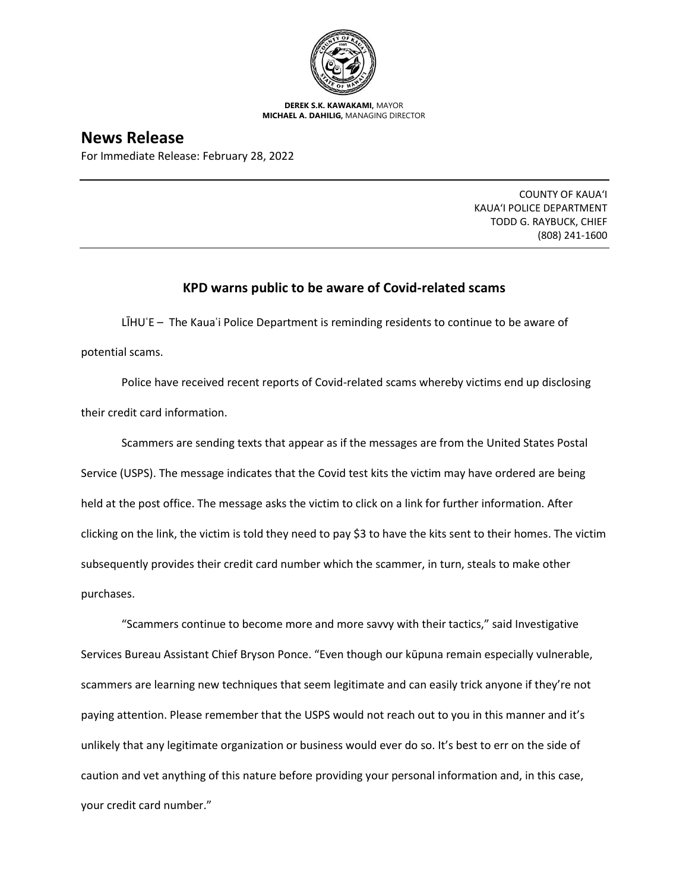

**DEREK S.K. KAWAKAMI,** MAYOR **MICHAEL A. DAHILIG,** MANAGING DIRECTOR

## **News Release**

For Immediate Release: February 28, 2022

COUNTY OF KAUA'I KAUA'I POLICE DEPARTMENT TODD G. RAYBUCK, CHIEF (808) 241-1600

## **KPD warns public to be aware of Covid-related scams**

LIHU'E – The Kaua'i Police Department is reminding residents to continue to be aware of potential scams.

Police have received recent reports of Covid-related scams whereby victims end up disclosing their credit card information.

Scammers are sending texts that appear as if the messages are from the United States Postal Service (USPS). The message indicates that the Covid test kits the victim may have ordered are being held at the post office. The message asks the victim to click on a link for further information. After clicking on the link, the victim is told they need to pay \$3 to have the kits sent to their homes. The victim subsequently provides their credit card number which the scammer, in turn, steals to make other purchases.

"Scammers continue to become more and more savvy with their tactics," said Investigative Services Bureau Assistant Chief Bryson Ponce. "Even though our kūpuna remain especially vulnerable, scammers are learning new techniques that seem legitimate and can easily trick anyone if they're not paying attention. Please remember that the USPS would not reach out to you in this manner and it's unlikely that any legitimate organization or business would ever do so. It's best to err on the side of caution and vet anything of this nature before providing your personal information and, in this case, your credit card number."